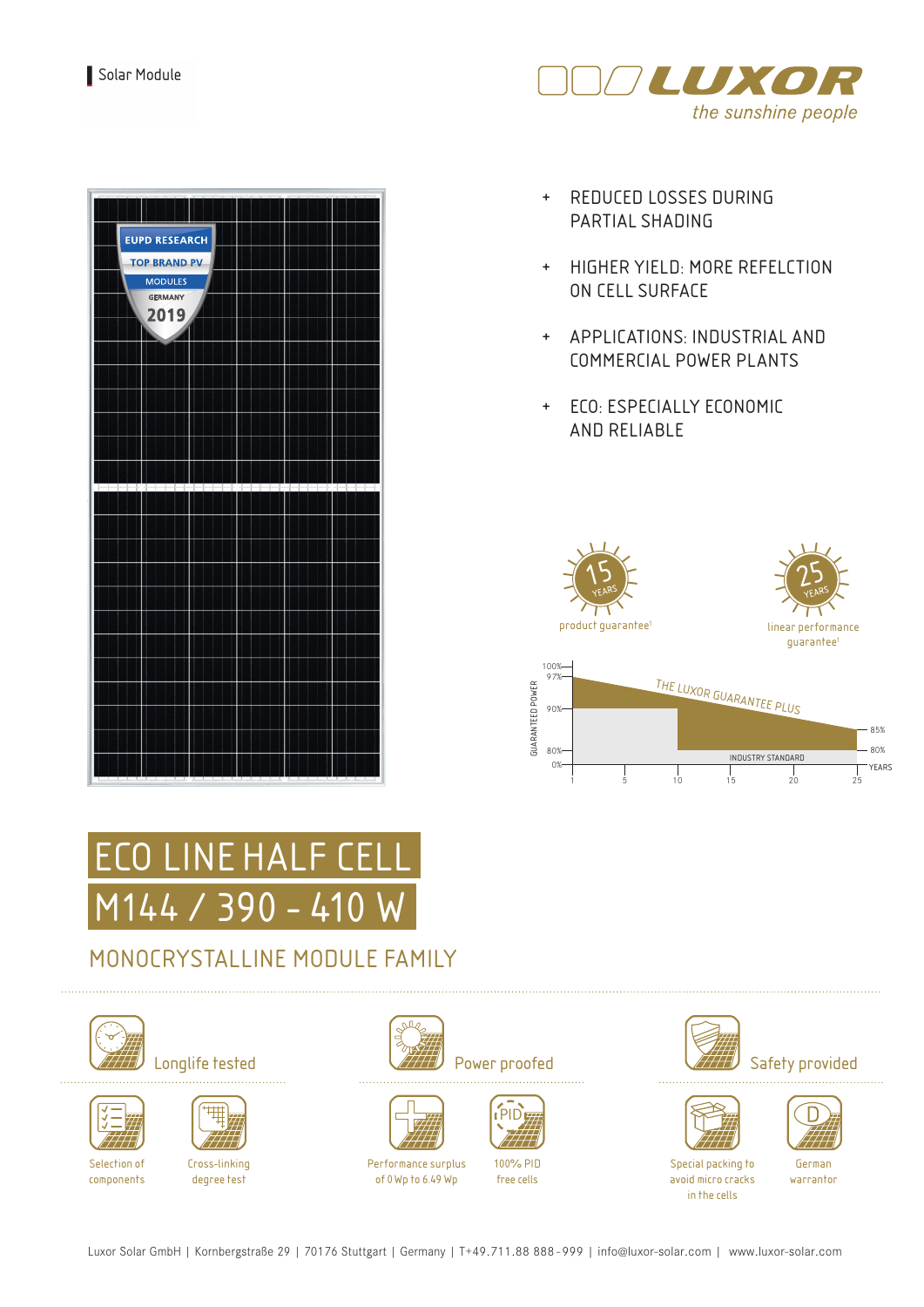

| <b>EUPD RESEARCH</b><br><b>TOP BRAND PV</b> |  |
|---------------------------------------------|--|
| <b>MODULES</b>                              |  |
| <b>GERMANY</b><br>2019                      |  |
|                                             |  |
|                                             |  |
|                                             |  |
|                                             |  |
|                                             |  |
|                                             |  |
|                                             |  |
|                                             |  |
|                                             |  |
|                                             |  |
|                                             |  |
|                                             |  |
|                                             |  |

- + REDUCED LOSSES DURING PARTIAL SHADING
- + HIGHER YIELD: MORE REFELCTION ON CELL SURFACE
- + APPLICATIONS: INDUSTRIAL AND COMMERCIAL POWER PLANTS
- + ECO: ESPECIALLY ECONOMIC AND RELIABLE





## MONOCRYSTALLINE MODULE FAMILY







Selection of components

Cross-linking degree test







Performance surplus of 0Wp to 6.49 Wp



100% PID free cells





Special packing to avoid micro cracks in the cells

German warrantor

Luxor Solar GmbH | Kornbergstraße 29 | 70176 Stuttgart | Germany | T+49.711.88 888 - 999 | info@luxor-solar.com | www.luxor-solar.com